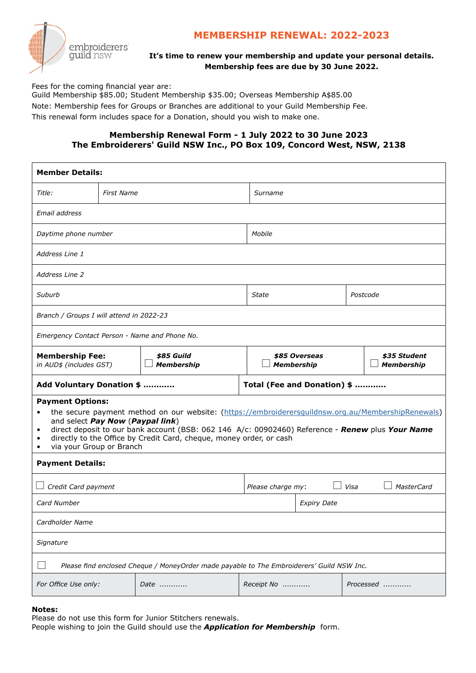

# **MEMBERSHIP RENEWAL: 2022-2023**

## **It's time to renew your membership and update your personal details. Membership fees are due by 30 June 2022.**

Fees for the coming financial year are:

Guild Membership \$85.00; Student Membership \$35.00; Overseas Membership A\$85.00 Note: Membership fees for Groups or Branches are additional to your Guild Membership Fee. This renewal form includes space for a Donation, should you wish to make one.

# **Membership Renewal Form - 1 July 2022 to 30 June 2023 The Embroiderers' Guild NSW Inc., PO Box 109, Concord West, NSW, 2138**

| <i>Title:</i><br><b>First Name</b><br>Surname<br>Email address<br>Mobile<br>Daytime phone number<br>Address Line 1<br><b>Address Line 2</b><br>Suburb<br>Postcode<br>State<br>Branch / Groups I will attend in 2022-23<br>Emergency Contact Person - Name and Phone No.<br><b>Membership Fee:</b><br>\$85 Guild<br>\$35 Student<br>\$85 Overseas<br><b>Membership</b><br><b>Membership</b><br><b>Membership</b><br>in AUD\$ (includes GST)<br>Add Voluntary Donation \$<br>Total (Fee and Donation) \$<br><b>Payment Options:</b><br>the secure payment method on our website: (https://embroiderersguildnsw.org.au/MembershipRenewals)<br>$\bullet$<br>and select Pay Now (Paypal link)<br>direct deposit to our bank account (BSB: 062 146 A/c: 00902460) Reference - Renew plus Your Name<br>٠<br>directly to the Office by Credit Card, cheque, money order, or cash<br>٠<br>via your Group or Branch<br>٠<br><b>Payment Details:</b><br>Visa<br>Credit Card payment<br>Please charge my:<br><b>MasterCard</b><br>Card Number<br><b>Expiry Date</b><br>Cardholder Name<br>Signature<br>Please find enclosed Cheque / MoneyOrder made payable to The Embroiderers' Guild NSW Inc. | <b>Member Details:</b> |  |  |  |  |  |  |  |
|--------------------------------------------------------------------------------------------------------------------------------------------------------------------------------------------------------------------------------------------------------------------------------------------------------------------------------------------------------------------------------------------------------------------------------------------------------------------------------------------------------------------------------------------------------------------------------------------------------------------------------------------------------------------------------------------------------------------------------------------------------------------------------------------------------------------------------------------------------------------------------------------------------------------------------------------------------------------------------------------------------------------------------------------------------------------------------------------------------------------------------------------------------------------------------------|------------------------|--|--|--|--|--|--|--|
|                                                                                                                                                                                                                                                                                                                                                                                                                                                                                                                                                                                                                                                                                                                                                                                                                                                                                                                                                                                                                                                                                                                                                                                      |                        |  |  |  |  |  |  |  |
|                                                                                                                                                                                                                                                                                                                                                                                                                                                                                                                                                                                                                                                                                                                                                                                                                                                                                                                                                                                                                                                                                                                                                                                      |                        |  |  |  |  |  |  |  |
|                                                                                                                                                                                                                                                                                                                                                                                                                                                                                                                                                                                                                                                                                                                                                                                                                                                                                                                                                                                                                                                                                                                                                                                      |                        |  |  |  |  |  |  |  |
|                                                                                                                                                                                                                                                                                                                                                                                                                                                                                                                                                                                                                                                                                                                                                                                                                                                                                                                                                                                                                                                                                                                                                                                      |                        |  |  |  |  |  |  |  |
|                                                                                                                                                                                                                                                                                                                                                                                                                                                                                                                                                                                                                                                                                                                                                                                                                                                                                                                                                                                                                                                                                                                                                                                      |                        |  |  |  |  |  |  |  |
|                                                                                                                                                                                                                                                                                                                                                                                                                                                                                                                                                                                                                                                                                                                                                                                                                                                                                                                                                                                                                                                                                                                                                                                      |                        |  |  |  |  |  |  |  |
|                                                                                                                                                                                                                                                                                                                                                                                                                                                                                                                                                                                                                                                                                                                                                                                                                                                                                                                                                                                                                                                                                                                                                                                      |                        |  |  |  |  |  |  |  |
|                                                                                                                                                                                                                                                                                                                                                                                                                                                                                                                                                                                                                                                                                                                                                                                                                                                                                                                                                                                                                                                                                                                                                                                      |                        |  |  |  |  |  |  |  |
|                                                                                                                                                                                                                                                                                                                                                                                                                                                                                                                                                                                                                                                                                                                                                                                                                                                                                                                                                                                                                                                                                                                                                                                      |                        |  |  |  |  |  |  |  |
|                                                                                                                                                                                                                                                                                                                                                                                                                                                                                                                                                                                                                                                                                                                                                                                                                                                                                                                                                                                                                                                                                                                                                                                      |                        |  |  |  |  |  |  |  |
|                                                                                                                                                                                                                                                                                                                                                                                                                                                                                                                                                                                                                                                                                                                                                                                                                                                                                                                                                                                                                                                                                                                                                                                      |                        |  |  |  |  |  |  |  |
|                                                                                                                                                                                                                                                                                                                                                                                                                                                                                                                                                                                                                                                                                                                                                                                                                                                                                                                                                                                                                                                                                                                                                                                      |                        |  |  |  |  |  |  |  |
|                                                                                                                                                                                                                                                                                                                                                                                                                                                                                                                                                                                                                                                                                                                                                                                                                                                                                                                                                                                                                                                                                                                                                                                      |                        |  |  |  |  |  |  |  |
|                                                                                                                                                                                                                                                                                                                                                                                                                                                                                                                                                                                                                                                                                                                                                                                                                                                                                                                                                                                                                                                                                                                                                                                      |                        |  |  |  |  |  |  |  |
|                                                                                                                                                                                                                                                                                                                                                                                                                                                                                                                                                                                                                                                                                                                                                                                                                                                                                                                                                                                                                                                                                                                                                                                      |                        |  |  |  |  |  |  |  |
|                                                                                                                                                                                                                                                                                                                                                                                                                                                                                                                                                                                                                                                                                                                                                                                                                                                                                                                                                                                                                                                                                                                                                                                      |                        |  |  |  |  |  |  |  |
|                                                                                                                                                                                                                                                                                                                                                                                                                                                                                                                                                                                                                                                                                                                                                                                                                                                                                                                                                                                                                                                                                                                                                                                      |                        |  |  |  |  |  |  |  |
| For Office Use only:<br>Receipt No<br>Date<br>Processed                                                                                                                                                                                                                                                                                                                                                                                                                                                                                                                                                                                                                                                                                                                                                                                                                                                                                                                                                                                                                                                                                                                              |                        |  |  |  |  |  |  |  |

### **Notes:**

Please do not use this form for Junior Stitchers renewals.

People wishing to join the Guild should use the *Application for Membership* form.